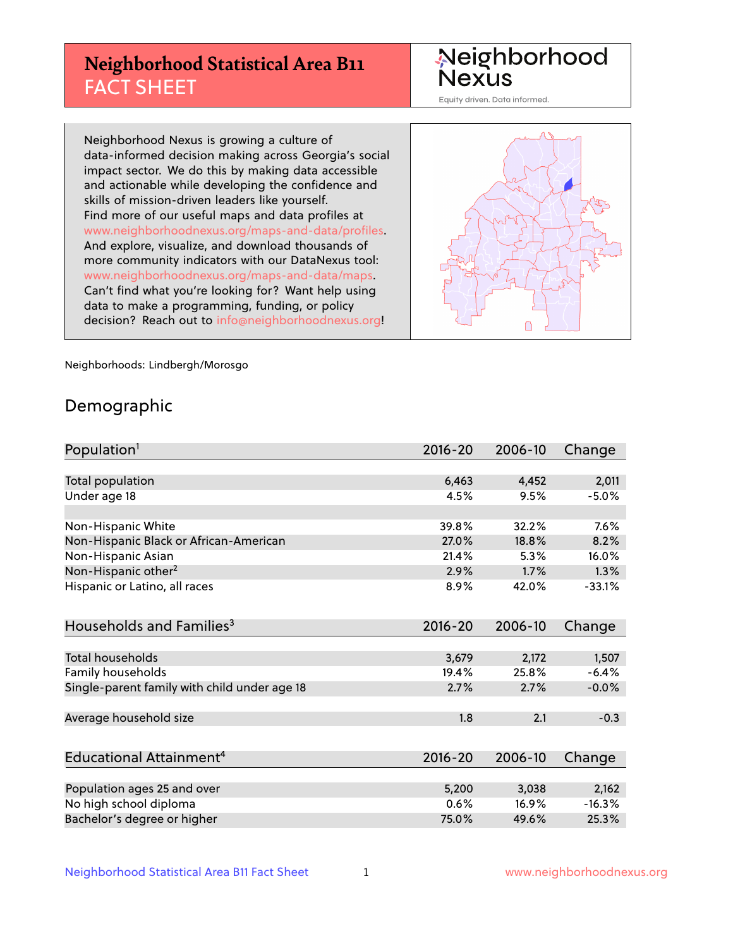## **Neighborhood Statistical Area B11** FACT SHEET

Neighborhood Nexus

Equity driven. Data informed.

Neighborhood Nexus is growing a culture of data-informed decision making across Georgia's social impact sector. We do this by making data accessible and actionable while developing the confidence and skills of mission-driven leaders like yourself. Find more of our useful maps and data profiles at www.neighborhoodnexus.org/maps-and-data/profiles. And explore, visualize, and download thousands of more community indicators with our DataNexus tool: www.neighborhoodnexus.org/maps-and-data/maps. Can't find what you're looking for? Want help using data to make a programming, funding, or policy decision? Reach out to [info@neighborhoodnexus.org!](mailto:info@neighborhoodnexus.org)



Neighborhoods: Lindbergh/Morosgo

### Demographic

| Population <sup>1</sup>                      | $2016 - 20$ | 2006-10 | Change   |
|----------------------------------------------|-------------|---------|----------|
|                                              |             |         |          |
| Total population                             | 6,463       | 4,452   | 2,011    |
| Under age 18                                 | 4.5%        | 9.5%    | $-5.0%$  |
| Non-Hispanic White                           | 39.8%       | 32.2%   | 7.6%     |
| Non-Hispanic Black or African-American       | 27.0%       | 18.8%   | 8.2%     |
| Non-Hispanic Asian                           | 21.4%       | 5.3%    | 16.0%    |
| Non-Hispanic other <sup>2</sup>              | 2.9%        | 1.7%    | 1.3%     |
| Hispanic or Latino, all races                | 8.9%        | 42.0%   | $-33.1%$ |
| Households and Families <sup>3</sup>         | $2016 - 20$ | 2006-10 | Change   |
|                                              |             |         |          |
| <b>Total households</b>                      | 3,679       | 2,172   | 1,507    |
| Family households                            | 19.4%       | 25.8%   | $-6.4%$  |
| Single-parent family with child under age 18 | 2.7%        | 2.7%    | $-0.0%$  |
| Average household size                       | 1.8         | 2.1     | $-0.3$   |
|                                              |             |         |          |
| Educational Attainment <sup>4</sup>          | $2016 - 20$ | 2006-10 | Change   |
|                                              |             |         |          |
| Population ages 25 and over                  | 5,200       | 3,038   | 2,162    |
| No high school diploma                       | 0.6%        | 16.9%   | $-16.3%$ |
| Bachelor's degree or higher                  | 75.0%       | 49.6%   | 25.3%    |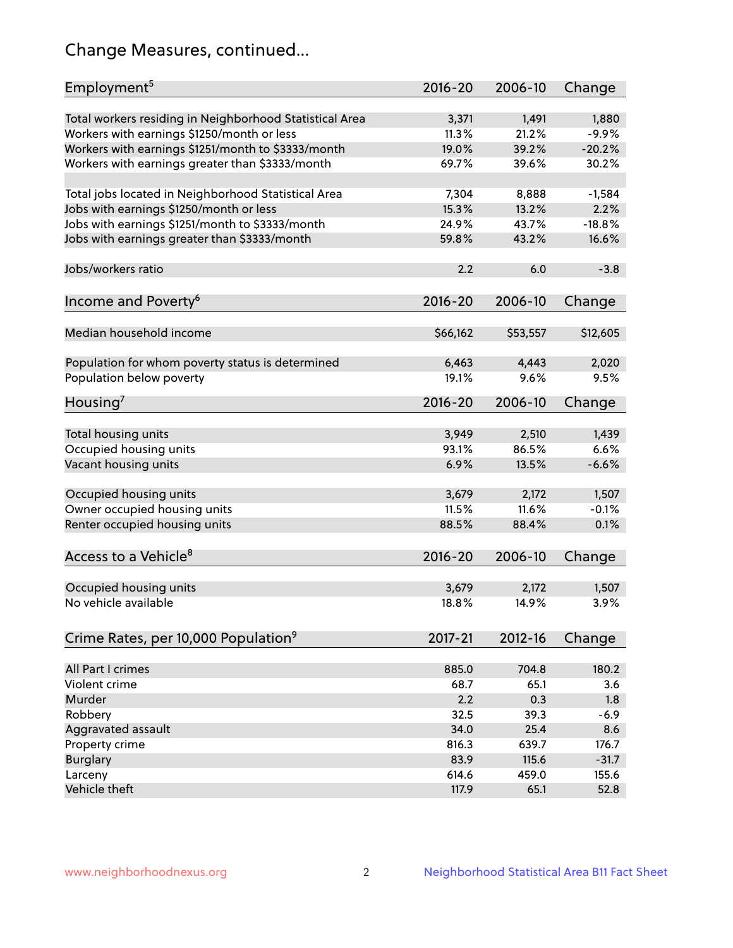## Change Measures, continued...

| Employment <sup>5</sup>                                 | 2016-20     | 2006-10  | Change   |
|---------------------------------------------------------|-------------|----------|----------|
| Total workers residing in Neighborhood Statistical Area | 3,371       | 1,491    | 1,880    |
| Workers with earnings \$1250/month or less              | 11.3%       | 21.2%    | $-9.9%$  |
| Workers with earnings \$1251/month to \$3333/month      | 19.0%       | 39.2%    | $-20.2%$ |
| Workers with earnings greater than \$3333/month         | 69.7%       | 39.6%    | 30.2%    |
|                                                         |             |          |          |
| Total jobs located in Neighborhood Statistical Area     | 7,304       | 8,888    | $-1,584$ |
| Jobs with earnings \$1250/month or less                 | 15.3%       | 13.2%    | 2.2%     |
| Jobs with earnings \$1251/month to \$3333/month         | 24.9%       | 43.7%    | $-18.8%$ |
| Jobs with earnings greater than \$3333/month            | 59.8%       | 43.2%    | 16.6%    |
|                                                         |             |          |          |
| Jobs/workers ratio                                      | 2.2         | 6.0      | $-3.8$   |
|                                                         |             |          |          |
| Income and Poverty <sup>6</sup>                         | 2016-20     | 2006-10  | Change   |
|                                                         |             |          |          |
| Median household income                                 | \$66,162    | \$53,557 | \$12,605 |
|                                                         |             |          |          |
| Population for whom poverty status is determined        | 6,463       | 4,443    | 2,020    |
| Population below poverty                                | 19.1%       | 9.6%     | 9.5%     |
| Housing <sup>7</sup>                                    | 2016-20     | 2006-10  | Change   |
|                                                         |             |          |          |
| Total housing units                                     | 3,949       | 2,510    | 1,439    |
| Occupied housing units                                  | 93.1%       | 86.5%    | 6.6%     |
| Vacant housing units                                    | 6.9%        | 13.5%    | $-6.6%$  |
|                                                         |             |          |          |
| Occupied housing units                                  | 3,679       | 2,172    | 1,507    |
| Owner occupied housing units                            | 11.5%       | 11.6%    | $-0.1%$  |
| Renter occupied housing units                           | 88.5%       | 88.4%    | 0.1%     |
|                                                         |             |          |          |
| Access to a Vehicle <sup>8</sup>                        | $2016 - 20$ | 2006-10  | Change   |
|                                                         |             |          |          |
| Occupied housing units                                  | 3,679       | 2,172    | 1,507    |
| No vehicle available                                    | 18.8%       | 14.9%    | 3.9%     |
|                                                         |             |          |          |
| Crime Rates, per 10,000 Population <sup>9</sup>         | 2017-21     | 2012-16  | Change   |
|                                                         |             |          |          |
| All Part I crimes                                       | 885.0       | 704.8    | 180.2    |
| Violent crime                                           | 68.7        | 65.1     | 3.6      |
| Murder                                                  | 2.2         | 0.3      | 1.8      |
| Robbery                                                 | 32.5        | 39.3     | $-6.9$   |
| Aggravated assault                                      | 34.0        | 25.4     | 8.6      |
| Property crime                                          | 816.3       | 639.7    | 176.7    |
| <b>Burglary</b>                                         | 83.9        | 115.6    | $-31.7$  |
| Larceny                                                 | 614.6       | 459.0    | 155.6    |
| Vehicle theft                                           | 117.9       | 65.1     | 52.8     |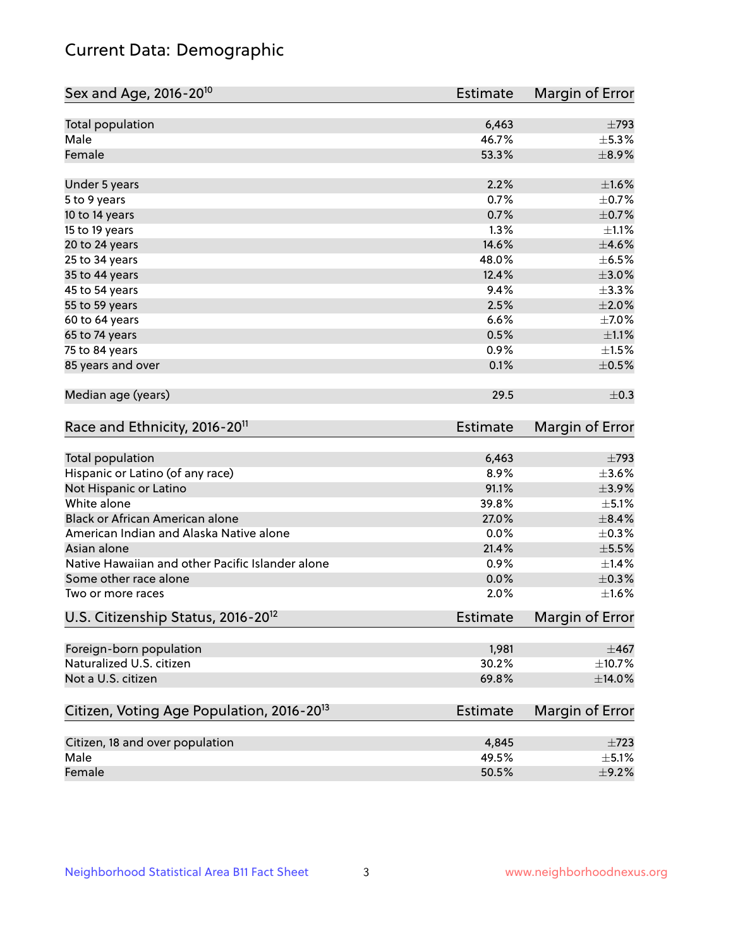## Current Data: Demographic

| Total population<br>6,463<br>Male<br>46.7%<br>53.3%<br>Female<br>2.2%<br>$\pm1.6\%$<br>Under 5 years<br>0.7%<br>5 to 9 years<br>0.7%<br>10 to 14 years<br>1.3%<br>15 to 19 years<br>14.6%<br>20 to 24 years<br>48.0%<br>25 to 34 years<br>35 to 44 years<br>12.4%<br>9.4%<br>45 to 54 years<br>2.5%<br>55 to 59 years<br>6.6%<br>60 to 64 years<br>0.5%<br>65 to 74 years<br>75 to 84 years<br>0.9%<br>85 years and over<br>0.1%<br>Median age (years)<br>29.5<br>Race and Ethnicity, 2016-20 <sup>11</sup><br><b>Estimate</b><br>Total population<br>6,463<br>Hispanic or Latino (of any race)<br>8.9%<br>91.1%<br>Not Hispanic or Latino<br>White alone<br>39.8%<br>Black or African American alone<br>27.0%<br>American Indian and Alaska Native alone<br>0.0%<br>21.4%<br>Asian alone<br>Native Hawaiian and other Pacific Islander alone<br>0.9%<br>Some other race alone<br>0.0%<br>2.0%<br>Two or more races<br>U.S. Citizenship Status, 2016-20 <sup>12</sup><br><b>Estimate</b><br>Foreign-born population<br>1,981<br>Naturalized U.S. citizen<br>30.2%<br>Not a U.S. citizen<br>69.8%<br>Citizen, Voting Age Population, 2016-20 <sup>13</sup><br><b>Estimate</b><br>Citizen, 18 and over population<br>4,845<br>Male<br>49.5% | Sex and Age, 2016-20 <sup>10</sup> | <b>Estimate</b> | Margin of Error |
|-------------------------------------------------------------------------------------------------------------------------------------------------------------------------------------------------------------------------------------------------------------------------------------------------------------------------------------------------------------------------------------------------------------------------------------------------------------------------------------------------------------------------------------------------------------------------------------------------------------------------------------------------------------------------------------------------------------------------------------------------------------------------------------------------------------------------------------------------------------------------------------------------------------------------------------------------------------------------------------------------------------------------------------------------------------------------------------------------------------------------------------------------------------------------------------------------------------------------------------------|------------------------------------|-----------------|-----------------|
| $\pm$ 5.3%<br>$\pm$ 8.9%                                                                                                                                                                                                                                                                                                                                                                                                                                                                                                                                                                                                                                                                                                                                                                                                                                                                                                                                                                                                                                                                                                                                                                                                                  |                                    |                 | $\pm 793$       |
|                                                                                                                                                                                                                                                                                                                                                                                                                                                                                                                                                                                                                                                                                                                                                                                                                                                                                                                                                                                                                                                                                                                                                                                                                                           |                                    |                 |                 |
|                                                                                                                                                                                                                                                                                                                                                                                                                                                                                                                                                                                                                                                                                                                                                                                                                                                                                                                                                                                                                                                                                                                                                                                                                                           |                                    |                 |                 |
| $\pm$ 0.7%<br>$\pm$ 0.7%<br>$\pm 1.1\%$<br>$\pm 4.6\%$<br>$\pm$ 6.5%<br>$\pm 3.0\%$<br>±3.3%<br>$\pm 2.0\%$<br>$\pm$ 7.0%<br>$\pm 1.1\%$<br>$\pm 1.5\%$<br>$\pm$ 0.5%<br>$\pm$ 0.3<br>Margin of Error<br>$\pm 793$<br>$\pm 3.6\%$<br>$\pm$ 3.9%<br>$\pm$ 5.1%<br>$\pm$ 8.4%<br>$\pm$ 0.3%<br>$\pm$ 5.5%<br>$\pm$ 1.4%<br>$\pm$ 0.3%<br>$\pm1.6\%$<br>Margin of Error<br>$\pm 467$<br>$\pm$ 10.7%<br>$\pm$ 14.0%<br>$\pm 723$                                                                                                                                                                                                                                                                                                                                                                                                                                                                                                                                                                                                                                                                                                                                                                                                              |                                    |                 |                 |
|                                                                                                                                                                                                                                                                                                                                                                                                                                                                                                                                                                                                                                                                                                                                                                                                                                                                                                                                                                                                                                                                                                                                                                                                                                           |                                    |                 |                 |
|                                                                                                                                                                                                                                                                                                                                                                                                                                                                                                                                                                                                                                                                                                                                                                                                                                                                                                                                                                                                                                                                                                                                                                                                                                           |                                    |                 |                 |
|                                                                                                                                                                                                                                                                                                                                                                                                                                                                                                                                                                                                                                                                                                                                                                                                                                                                                                                                                                                                                                                                                                                                                                                                                                           |                                    |                 |                 |
|                                                                                                                                                                                                                                                                                                                                                                                                                                                                                                                                                                                                                                                                                                                                                                                                                                                                                                                                                                                                                                                                                                                                                                                                                                           |                                    |                 |                 |
|                                                                                                                                                                                                                                                                                                                                                                                                                                                                                                                                                                                                                                                                                                                                                                                                                                                                                                                                                                                                                                                                                                                                                                                                                                           |                                    |                 |                 |
|                                                                                                                                                                                                                                                                                                                                                                                                                                                                                                                                                                                                                                                                                                                                                                                                                                                                                                                                                                                                                                                                                                                                                                                                                                           |                                    |                 |                 |
|                                                                                                                                                                                                                                                                                                                                                                                                                                                                                                                                                                                                                                                                                                                                                                                                                                                                                                                                                                                                                                                                                                                                                                                                                                           |                                    |                 |                 |
|                                                                                                                                                                                                                                                                                                                                                                                                                                                                                                                                                                                                                                                                                                                                                                                                                                                                                                                                                                                                                                                                                                                                                                                                                                           |                                    |                 |                 |
|                                                                                                                                                                                                                                                                                                                                                                                                                                                                                                                                                                                                                                                                                                                                                                                                                                                                                                                                                                                                                                                                                                                                                                                                                                           |                                    |                 |                 |
|                                                                                                                                                                                                                                                                                                                                                                                                                                                                                                                                                                                                                                                                                                                                                                                                                                                                                                                                                                                                                                                                                                                                                                                                                                           |                                    |                 |                 |
|                                                                                                                                                                                                                                                                                                                                                                                                                                                                                                                                                                                                                                                                                                                                                                                                                                                                                                                                                                                                                                                                                                                                                                                                                                           |                                    |                 |                 |
|                                                                                                                                                                                                                                                                                                                                                                                                                                                                                                                                                                                                                                                                                                                                                                                                                                                                                                                                                                                                                                                                                                                                                                                                                                           |                                    |                 |                 |
|                                                                                                                                                                                                                                                                                                                                                                                                                                                                                                                                                                                                                                                                                                                                                                                                                                                                                                                                                                                                                                                                                                                                                                                                                                           |                                    |                 |                 |
|                                                                                                                                                                                                                                                                                                                                                                                                                                                                                                                                                                                                                                                                                                                                                                                                                                                                                                                                                                                                                                                                                                                                                                                                                                           |                                    |                 |                 |
|                                                                                                                                                                                                                                                                                                                                                                                                                                                                                                                                                                                                                                                                                                                                                                                                                                                                                                                                                                                                                                                                                                                                                                                                                                           |                                    |                 |                 |
|                                                                                                                                                                                                                                                                                                                                                                                                                                                                                                                                                                                                                                                                                                                                                                                                                                                                                                                                                                                                                                                                                                                                                                                                                                           |                                    |                 |                 |
|                                                                                                                                                                                                                                                                                                                                                                                                                                                                                                                                                                                                                                                                                                                                                                                                                                                                                                                                                                                                                                                                                                                                                                                                                                           |                                    |                 |                 |
|                                                                                                                                                                                                                                                                                                                                                                                                                                                                                                                                                                                                                                                                                                                                                                                                                                                                                                                                                                                                                                                                                                                                                                                                                                           |                                    |                 |                 |
|                                                                                                                                                                                                                                                                                                                                                                                                                                                                                                                                                                                                                                                                                                                                                                                                                                                                                                                                                                                                                                                                                                                                                                                                                                           |                                    |                 |                 |
|                                                                                                                                                                                                                                                                                                                                                                                                                                                                                                                                                                                                                                                                                                                                                                                                                                                                                                                                                                                                                                                                                                                                                                                                                                           |                                    |                 |                 |
|                                                                                                                                                                                                                                                                                                                                                                                                                                                                                                                                                                                                                                                                                                                                                                                                                                                                                                                                                                                                                                                                                                                                                                                                                                           |                                    |                 |                 |
|                                                                                                                                                                                                                                                                                                                                                                                                                                                                                                                                                                                                                                                                                                                                                                                                                                                                                                                                                                                                                                                                                                                                                                                                                                           |                                    |                 |                 |
|                                                                                                                                                                                                                                                                                                                                                                                                                                                                                                                                                                                                                                                                                                                                                                                                                                                                                                                                                                                                                                                                                                                                                                                                                                           |                                    |                 |                 |
|                                                                                                                                                                                                                                                                                                                                                                                                                                                                                                                                                                                                                                                                                                                                                                                                                                                                                                                                                                                                                                                                                                                                                                                                                                           |                                    |                 |                 |
|                                                                                                                                                                                                                                                                                                                                                                                                                                                                                                                                                                                                                                                                                                                                                                                                                                                                                                                                                                                                                                                                                                                                                                                                                                           |                                    |                 |                 |
|                                                                                                                                                                                                                                                                                                                                                                                                                                                                                                                                                                                                                                                                                                                                                                                                                                                                                                                                                                                                                                                                                                                                                                                                                                           |                                    |                 |                 |
|                                                                                                                                                                                                                                                                                                                                                                                                                                                                                                                                                                                                                                                                                                                                                                                                                                                                                                                                                                                                                                                                                                                                                                                                                                           |                                    |                 |                 |
|                                                                                                                                                                                                                                                                                                                                                                                                                                                                                                                                                                                                                                                                                                                                                                                                                                                                                                                                                                                                                                                                                                                                                                                                                                           |                                    |                 |                 |
|                                                                                                                                                                                                                                                                                                                                                                                                                                                                                                                                                                                                                                                                                                                                                                                                                                                                                                                                                                                                                                                                                                                                                                                                                                           |                                    |                 | Margin of Error |
| $\pm$ 5.1%                                                                                                                                                                                                                                                                                                                                                                                                                                                                                                                                                                                                                                                                                                                                                                                                                                                                                                                                                                                                                                                                                                                                                                                                                                |                                    |                 |                 |
|                                                                                                                                                                                                                                                                                                                                                                                                                                                                                                                                                                                                                                                                                                                                                                                                                                                                                                                                                                                                                                                                                                                                                                                                                                           |                                    |                 |                 |
| 50.5%<br>Female<br>$\pm$ 9.2%                                                                                                                                                                                                                                                                                                                                                                                                                                                                                                                                                                                                                                                                                                                                                                                                                                                                                                                                                                                                                                                                                                                                                                                                             |                                    |                 |                 |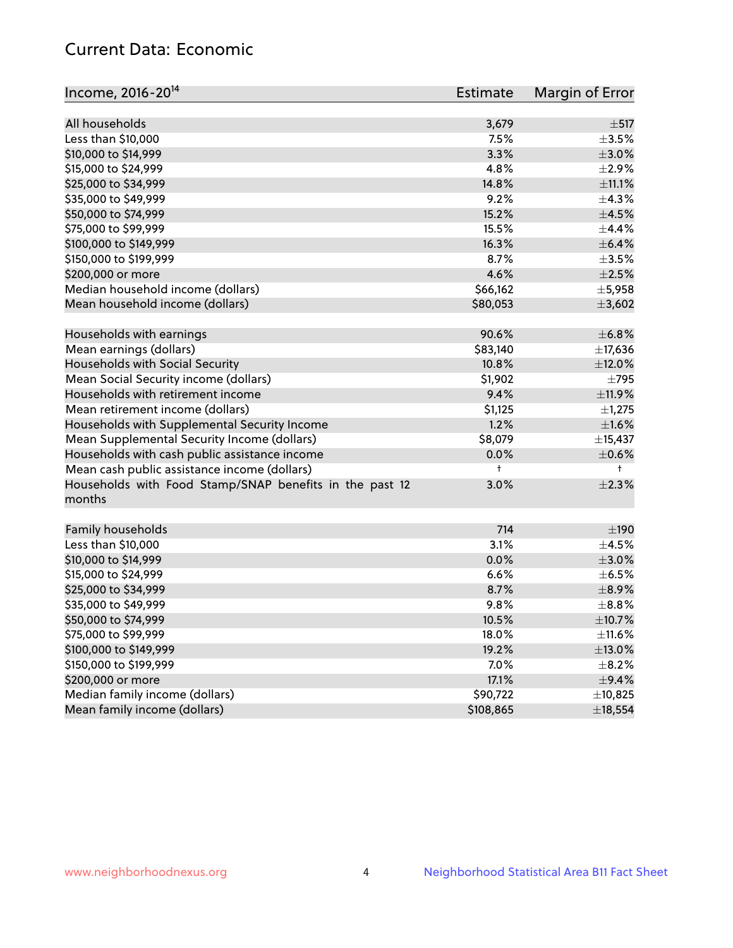## Current Data: Economic

| Income, 2016-20 <sup>14</sup>                           | Estimate   | Margin of Error |
|---------------------------------------------------------|------------|-----------------|
|                                                         |            |                 |
| All households                                          | 3,679      | $\pm$ 517       |
| Less than \$10,000                                      | 7.5%       | $\pm 3.5\%$     |
| \$10,000 to \$14,999                                    | 3.3%       | $\pm$ 3.0%      |
| \$15,000 to \$24,999                                    | 4.8%       | $\pm 2.9\%$     |
| \$25,000 to \$34,999                                    | 14.8%      | $\pm$ 11.1%     |
| \$35,000 to \$49,999                                    | 9.2%       | ±4.3%           |
| \$50,000 to \$74,999                                    | 15.2%      | $\pm$ 4.5%      |
| \$75,000 to \$99,999                                    | 15.5%      | $\pm$ 4.4%      |
| \$100,000 to \$149,999                                  | 16.3%      | $\pm$ 6.4%      |
| \$150,000 to \$199,999                                  | 8.7%       | $\pm$ 3.5%      |
| \$200,000 or more                                       | 4.6%       | $\pm 2.5\%$     |
| Median household income (dollars)                       | \$66,162   | $\pm$ 5,958     |
| Mean household income (dollars)                         | \$80,053   | ±3,602          |
| Households with earnings                                | 90.6%      | $\pm$ 6.8%      |
| Mean earnings (dollars)                                 | \$83,140   | ±17,636         |
| Households with Social Security                         | 10.8%      | $\pm$ 12.0%     |
| Mean Social Security income (dollars)                   | \$1,902    | $\pm 795$       |
| Households with retirement income                       | 9.4%       | ±11.9%          |
| Mean retirement income (dollars)                        | \$1,125    | $\pm$ 1,275     |
| Households with Supplemental Security Income            | 1.2%       | ±1.6%           |
| Mean Supplemental Security Income (dollars)             | \$8,079    | ±15,437         |
| Households with cash public assistance income           | 0.0%       | $\pm$ 0.6%      |
| Mean cash public assistance income (dollars)            | $\ddagger$ | $^+$            |
| Households with Food Stamp/SNAP benefits in the past 12 | 3.0%       | $\pm 2.3\%$     |
| months                                                  |            |                 |
| Family households                                       | 714        | $\pm 190$       |
| Less than \$10,000                                      | 3.1%       | $\pm 4.5\%$     |
| \$10,000 to \$14,999                                    | 0.0%       | $\pm 3.0\%$     |
| \$15,000 to \$24,999                                    | 6.6%       | $\pm$ 6.5%      |
| \$25,000 to \$34,999                                    | 8.7%       | $\pm$ 8.9%      |
| \$35,000 to \$49,999                                    | 9.8%       | $\pm$ 8.8%      |
| \$50,000 to \$74,999                                    | 10.5%      | ±10.7%          |
| \$75,000 to \$99,999                                    | 18.0%      | $\pm$ 11.6%     |
| \$100,000 to \$149,999                                  | 19.2%      | $\pm$ 13.0%     |
| \$150,000 to \$199,999                                  | 7.0%       | $\pm$ 8.2%      |
| \$200,000 or more                                       | 17.1%      | $\pm$ 9.4%      |
| Median family income (dollars)                          | \$90,722   | ±10,825         |
| Mean family income (dollars)                            | \$108,865  | ±18,554         |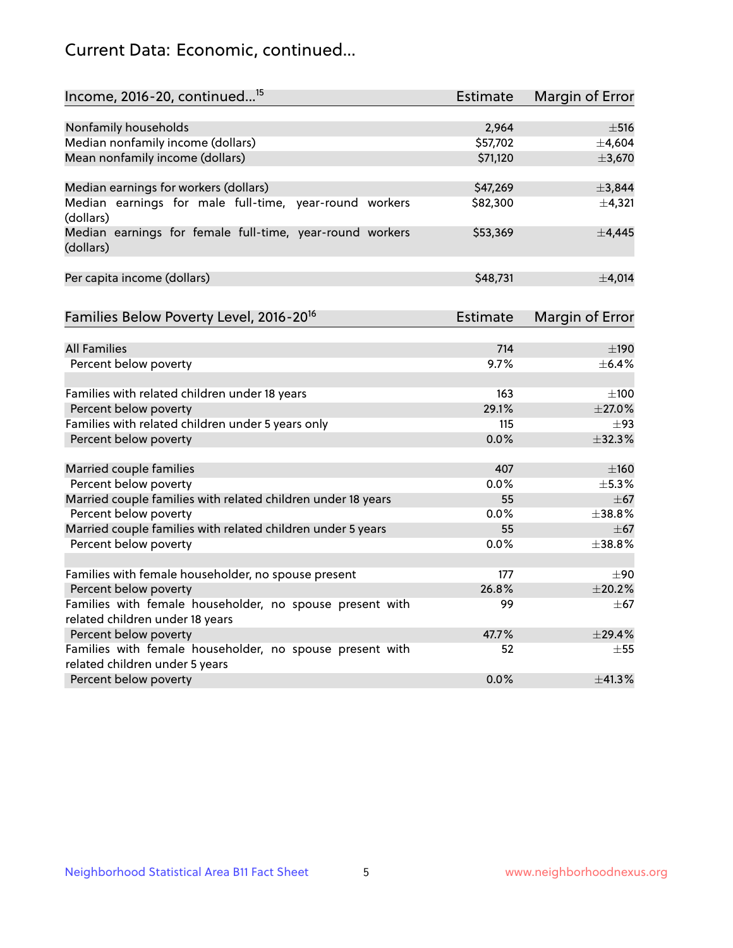## Current Data: Economic, continued...

| Income, 2016-20, continued <sup>15</sup>                                                    | <b>Estimate</b> | <b>Margin of Error</b> |
|---------------------------------------------------------------------------------------------|-----------------|------------------------|
|                                                                                             |                 |                        |
| Nonfamily households                                                                        | 2,964           | $\pm$ 516              |
| Median nonfamily income (dollars)                                                           | \$57,702        | ±4,604                 |
| Mean nonfamily income (dollars)                                                             | \$71,120        | ±3,670                 |
| Median earnings for workers (dollars)                                                       | \$47,269        | ±3,844                 |
| Median earnings for male full-time, year-round workers                                      | \$82,300        | ±4,321                 |
| (dollars)                                                                                   |                 |                        |
| Median earnings for female full-time, year-round workers<br>(dollars)                       | \$53,369        | ±4,445                 |
| Per capita income (dollars)                                                                 | \$48,731        | ±4,014                 |
|                                                                                             |                 |                        |
| Families Below Poverty Level, 2016-20 <sup>16</sup>                                         | <b>Estimate</b> | <b>Margin of Error</b> |
| <b>All Families</b>                                                                         | 714             | $\pm$ 190              |
| Percent below poverty                                                                       | 9.7%            | ±6.4%                  |
|                                                                                             |                 |                        |
| Families with related children under 18 years                                               | 163             | $\pm 100$              |
| Percent below poverty                                                                       | 29.1%           | $\pm 27.0\%$           |
| Families with related children under 5 years only                                           | 115             | $\pm$ 93               |
| Percent below poverty                                                                       | 0.0%            | ±32.3%                 |
| Married couple families                                                                     | 407             | $\pm 160$              |
| Percent below poverty                                                                       | 0.0%            | ±5.3%                  |
| Married couple families with related children under 18 years                                | 55              | $\pm 67$               |
| Percent below poverty                                                                       | $0.0\%$         | ±38.8%                 |
| Married couple families with related children under 5 years                                 | 55              | $\pm$ 67               |
| Percent below poverty                                                                       | $0.0\%$         | ±38.8%                 |
|                                                                                             |                 |                        |
| Families with female householder, no spouse present                                         | 177             | $\pm 90$               |
| Percent below poverty                                                                       | 26.8%           | ±20.2%                 |
| Families with female householder, no spouse present with<br>related children under 18 years | 99              | $+67$                  |
| Percent below poverty                                                                       | 47.7%           | ±29.4%                 |
| Families with female householder, no spouse present with                                    | 52              | $\pm$ 55               |
| related children under 5 years                                                              |                 |                        |
| Percent below poverty                                                                       | 0.0%            | ±41.3%                 |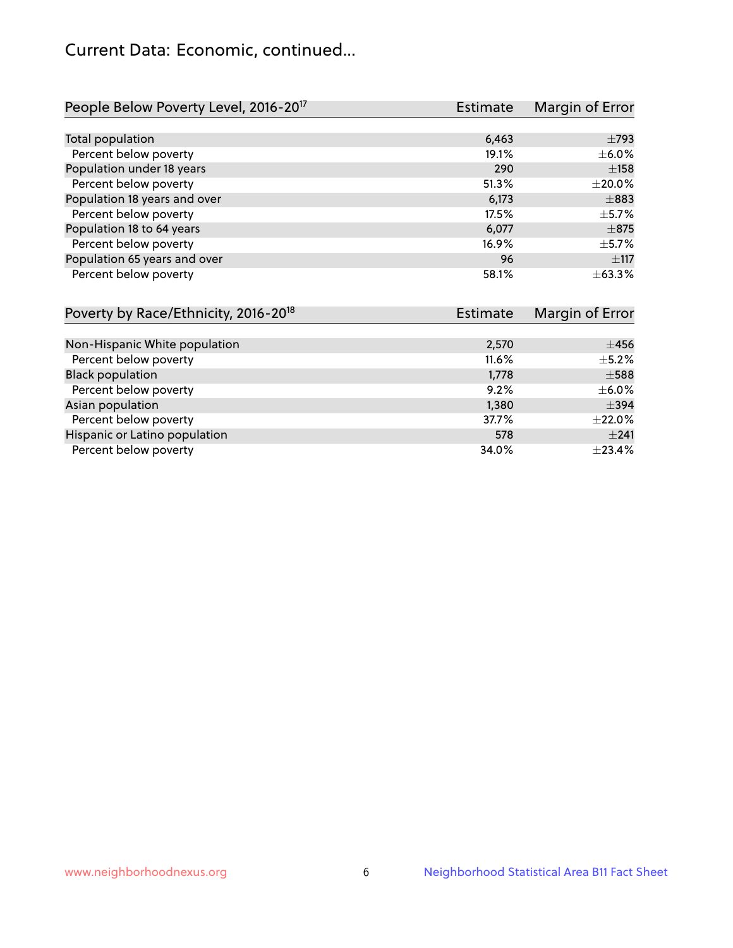## Current Data: Economic, continued...

| People Below Poverty Level, 2016-20 <sup>17</sup> | <b>Estimate</b> | Margin of Error |
|---------------------------------------------------|-----------------|-----------------|
|                                                   |                 |                 |
| Total population                                  | 6,463           | $\pm 793$       |
| Percent below poverty                             | 19.1%           | $\pm$ 6.0%      |
| Population under 18 years                         | 290             | ±158            |
| Percent below poverty                             | 51.3%           | $\pm 20.0\%$    |
| Population 18 years and over                      | 6,173           | $\pm$ 883       |
| Percent below poverty                             | 17.5%           | $\pm$ 5.7%      |
| Population 18 to 64 years                         | 6,077           | $\pm$ 875       |
| Percent below poverty                             | 16.9%           | $\pm$ 5.7%      |
| Population 65 years and over                      | 96              | $\pm$ 117       |
| Percent below poverty                             | 58.1%           | ±63.3%          |

| Poverty by Race/Ethnicity, 2016-20 <sup>18</sup> | Estimate | Margin of Error |
|--------------------------------------------------|----------|-----------------|
|                                                  |          |                 |
| Non-Hispanic White population                    | 2,570    | $\pm 456$       |
| Percent below poverty                            | $11.6\%$ | $\pm$ 5.2%      |
| <b>Black population</b>                          | 1,778    | $\pm$ 588       |
| Percent below poverty                            | 9.2%     | $\pm$ 6.0%      |
| Asian population                                 | 1,380    | $\pm$ 394       |
| Percent below poverty                            | 37.7%    | $\pm 22.0\%$    |
| Hispanic or Latino population                    | 578      | ±241            |
| Percent below poverty                            | 34.0%    | ±23.4%          |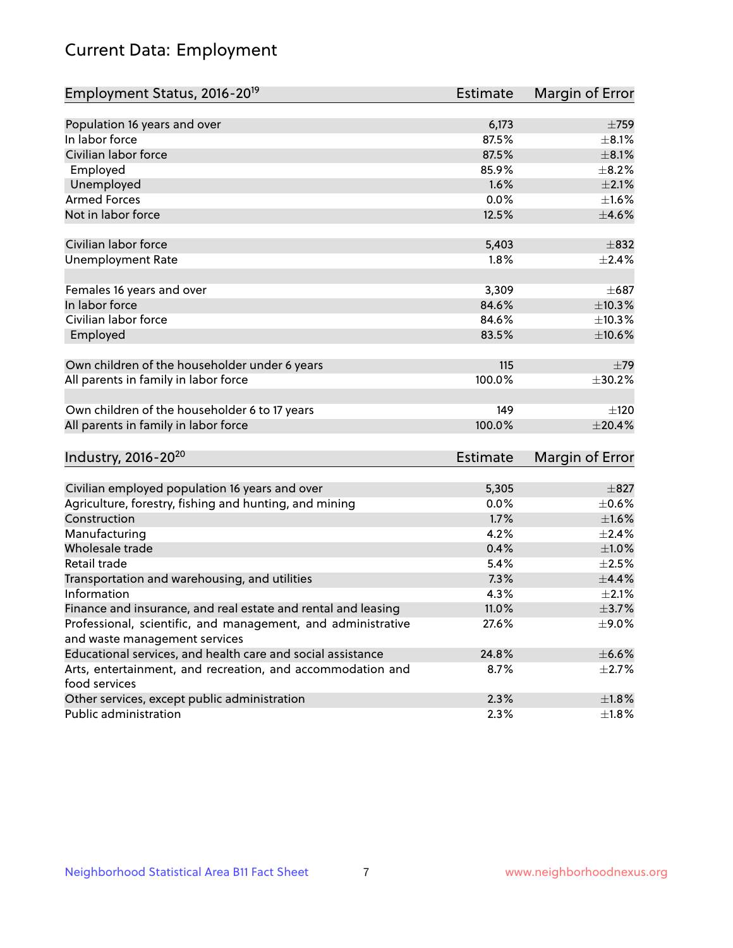# Current Data: Employment

| Employment Status, 2016-20 <sup>19</sup>                      | <b>Estimate</b> | Margin of Error |
|---------------------------------------------------------------|-----------------|-----------------|
|                                                               |                 |                 |
| Population 16 years and over                                  | 6,173           | $\pm 759$       |
| In labor force                                                | 87.5%           | $\pm 8.1\%$     |
| Civilian labor force                                          | 87.5%           | $\pm$ 8.1%      |
| Employed                                                      | 85.9%           | $\pm$ 8.2%      |
| Unemployed                                                    | 1.6%            | $\pm 2.1\%$     |
| <b>Armed Forces</b>                                           | 0.0%            | $\pm1.6\%$      |
| Not in labor force                                            | 12.5%           | $\pm 4.6\%$     |
| Civilian labor force                                          |                 | $\pm$ 832       |
|                                                               | 5,403           |                 |
| <b>Unemployment Rate</b>                                      | 1.8%            | $\pm 2.4\%$     |
| Females 16 years and over                                     | 3,309           | $\pm 687$       |
| In labor force                                                | 84.6%           | ±10.3%          |
| Civilian labor force                                          | 84.6%           | ±10.3%          |
| Employed                                                      | 83.5%           | $\pm 10.6\%$    |
|                                                               |                 |                 |
| Own children of the householder under 6 years                 | 115             | $\pm$ 79        |
| All parents in family in labor force                          | 100.0%          | ±30.2%          |
|                                                               |                 |                 |
| Own children of the householder 6 to 17 years                 | 149             | ±120            |
| All parents in family in labor force                          | 100.0%          | ±20.4%          |
|                                                               |                 |                 |
| Industry, 2016-20 <sup>20</sup>                               | Estimate        | Margin of Error |
| Civilian employed population 16 years and over                | 5,305           | $\pm$ 827       |
| Agriculture, forestry, fishing and hunting, and mining        | 0.0%            | $\pm$ 0.6%      |
| Construction                                                  | 1.7%            | ±1.6%           |
| Manufacturing                                                 | 4.2%            | ±2.4%           |
| Wholesale trade                                               | 0.4%            | ±1.0%           |
| Retail trade                                                  | 5.4%            | $\pm 2.5\%$     |
| Transportation and warehousing, and utilities                 | 7.3%            | $\pm$ 4.4%      |
| Information                                                   | 4.3%            | $\pm 2.1\%$     |
| Finance and insurance, and real estate and rental and leasing | 11.0%           | $\pm$ 3.7%      |
| Professional, scientific, and management, and administrative  | 27.6%           | ±9.0%           |
| and waste management services                                 |                 |                 |
| Educational services, and health care and social assistance   | 24.8%           | $\pm$ 6.6%      |
| Arts, entertainment, and recreation, and accommodation and    | 8.7%            | $\pm 2.7\%$     |
| food services                                                 |                 |                 |
| Other services, except public administration                  | 2.3%            | $\pm 1.8\%$     |
| Public administration                                         | 2.3%            | ±1.8%           |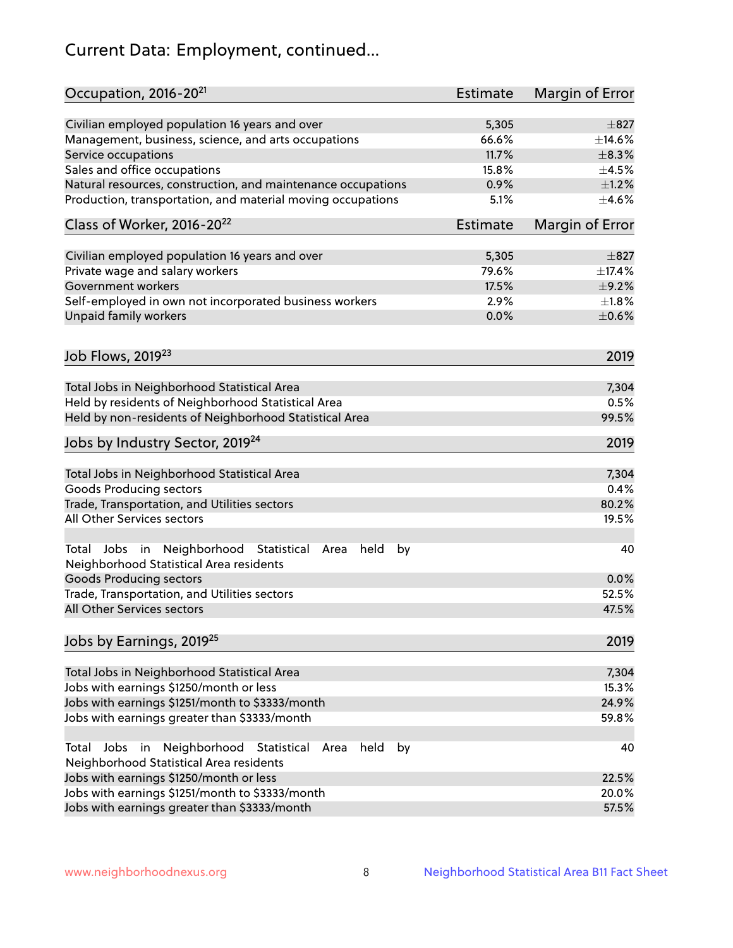# Current Data: Employment, continued...

| Occupation, 2016-20 <sup>21</sup>                                                                                | <b>Estimate</b> | Margin of Error |
|------------------------------------------------------------------------------------------------------------------|-----------------|-----------------|
| Civilian employed population 16 years and over                                                                   | 5,305           | $\pm$ 827       |
| Management, business, science, and arts occupations                                                              | 66.6%           | $\pm$ 14.6%     |
| Service occupations                                                                                              | 11.7%           | $\pm$ 8.3%      |
| Sales and office occupations                                                                                     | 15.8%           | $\pm 4.5\%$     |
| Natural resources, construction, and maintenance occupations                                                     | 0.9%            | $\pm 1.2\%$     |
| Production, transportation, and material moving occupations                                                      | 5.1%            | $\pm$ 4.6%      |
| Class of Worker, 2016-20 <sup>22</sup>                                                                           | <b>Estimate</b> | Margin of Error |
| Civilian employed population 16 years and over                                                                   | 5,305           | $\pm$ 827       |
| Private wage and salary workers                                                                                  | 79.6%           | ±17.4%          |
| Government workers                                                                                               | 17.5%           | $\pm$ 9.2%      |
|                                                                                                                  | 2.9%            | $\pm1.8\%$      |
| Self-employed in own not incorporated business workers                                                           |                 |                 |
| Unpaid family workers                                                                                            | 0.0%            | $\pm$ 0.6%      |
| Job Flows, 2019 <sup>23</sup>                                                                                    |                 | 2019            |
|                                                                                                                  |                 | 7,304           |
| Total Jobs in Neighborhood Statistical Area                                                                      |                 | 0.5%            |
| Held by residents of Neighborhood Statistical Area                                                               |                 | 99.5%           |
| Held by non-residents of Neighborhood Statistical Area                                                           |                 |                 |
| Jobs by Industry Sector, 2019 <sup>24</sup>                                                                      |                 | 2019            |
| Total Jobs in Neighborhood Statistical Area                                                                      |                 | 7,304           |
| <b>Goods Producing sectors</b>                                                                                   |                 | 0.4%            |
| Trade, Transportation, and Utilities sectors                                                                     |                 | 80.2%           |
| All Other Services sectors                                                                                       |                 | 19.5%           |
| Total Jobs in Neighborhood Statistical<br>held<br>by<br>Area<br>Neighborhood Statistical Area residents          |                 | 40              |
| <b>Goods Producing sectors</b>                                                                                   |                 | 0.0%            |
| Trade, Transportation, and Utilities sectors                                                                     |                 | 52.5%           |
| All Other Services sectors                                                                                       |                 | 47.5%           |
| Jobs by Earnings, 2019 <sup>25</sup>                                                                             |                 | 2019            |
| Total Jobs in Neighborhood Statistical Area                                                                      |                 | 7,304           |
| Jobs with earnings \$1250/month or less                                                                          |                 | 15.3%           |
| Jobs with earnings \$1251/month to \$3333/month                                                                  |                 | 24.9%           |
| Jobs with earnings greater than \$3333/month                                                                     |                 | 59.8%           |
| Neighborhood Statistical<br>Jobs<br>in<br>held<br>by<br>Total<br>Area<br>Neighborhood Statistical Area residents |                 | 40              |
| Jobs with earnings \$1250/month or less                                                                          |                 | 22.5%           |
| Jobs with earnings \$1251/month to \$3333/month                                                                  |                 | 20.0%           |
| Jobs with earnings greater than \$3333/month                                                                     |                 | 57.5%           |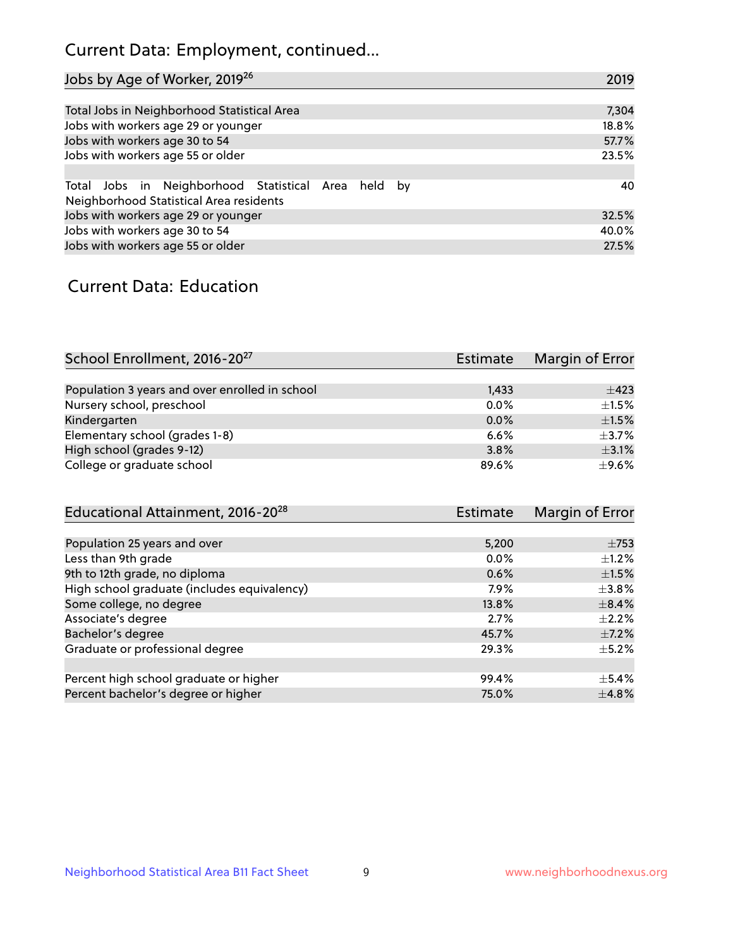## Current Data: Employment, continued...

| Jobs by Age of Worker, 2019 <sup>26</sup>                                                      | 2019  |
|------------------------------------------------------------------------------------------------|-------|
|                                                                                                |       |
| Total Jobs in Neighborhood Statistical Area                                                    | 7,304 |
| Jobs with workers age 29 or younger                                                            | 18.8% |
| Jobs with workers age 30 to 54                                                                 | 57.7% |
| Jobs with workers age 55 or older                                                              | 23.5% |
|                                                                                                |       |
| Total Jobs in Neighborhood Statistical Area held by<br>Neighborhood Statistical Area residents | 40    |
| Jobs with workers age 29 or younger                                                            | 32.5% |
| Jobs with workers age 30 to 54                                                                 | 40.0% |
| Jobs with workers age 55 or older                                                              | 27.5% |

### Current Data: Education

| School Enrollment, 2016-20 <sup>27</sup>       | <b>Estimate</b> | Margin of Error |
|------------------------------------------------|-----------------|-----------------|
|                                                |                 |                 |
| Population 3 years and over enrolled in school | 1,433           | $\pm$ 423       |
| Nursery school, preschool                      | 0.0%            | $\pm 1.5\%$     |
| Kindergarten                                   | 0.0%            | $\pm 1.5\%$     |
| Elementary school (grades 1-8)                 | 6.6%            | $+3.7%$         |
| High school (grades 9-12)                      | 3.8%            | $\pm$ 3.1%      |
| College or graduate school                     | 89.6%           | $\pm$ 9.6%      |

| Educational Attainment, 2016-20 <sup>28</sup> | Estimate | Margin of Error |
|-----------------------------------------------|----------|-----------------|
|                                               |          |                 |
| Population 25 years and over                  | 5,200    | $\pm 753$       |
| Less than 9th grade                           | 0.0%     | $\pm 1.2\%$     |
| 9th to 12th grade, no diploma                 | 0.6%     | $\pm1.5\%$      |
| High school graduate (includes equivalency)   | 7.9%     | $\pm$ 3.8%      |
| Some college, no degree                       | 13.8%    | $\pm$ 8.4%      |
| Associate's degree                            | 2.7%     | $\pm 2.2\%$     |
| Bachelor's degree                             | 45.7%    | $\pm$ 7.2%      |
| Graduate or professional degree               | 29.3%    | $\pm$ 5.2%      |
|                                               |          |                 |
| Percent high school graduate or higher        | 99.4%    | $+5.4%$         |
| Percent bachelor's degree or higher           | 75.0%    | $\pm$ 4.8%      |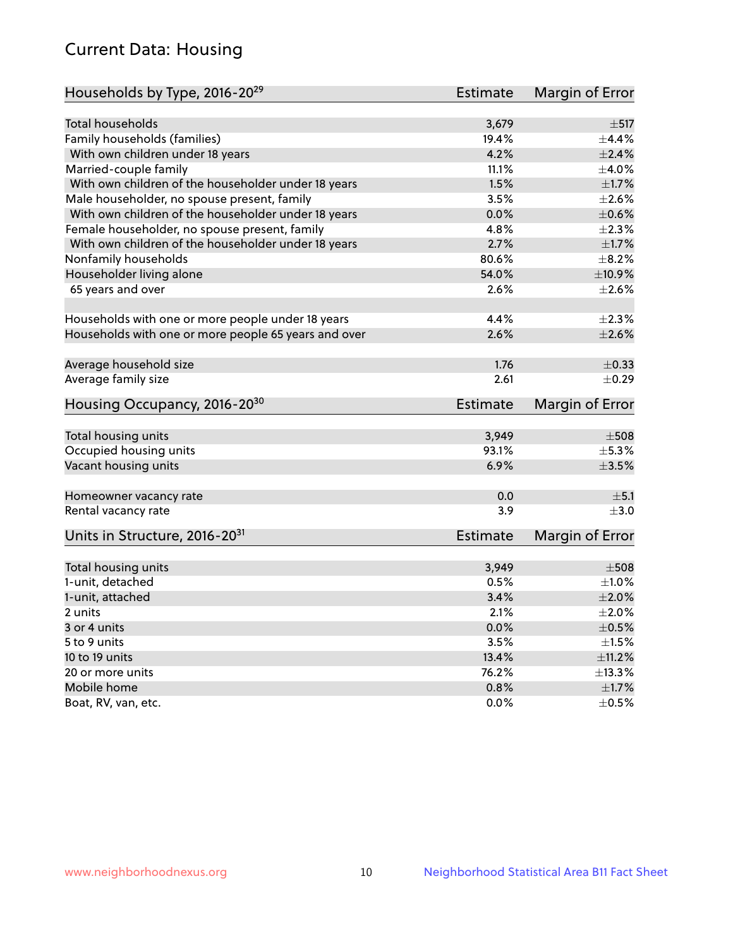## Current Data: Housing

| Households by Type, 2016-20 <sup>29</sup>            | <b>Estimate</b> | Margin of Error |
|------------------------------------------------------|-----------------|-----------------|
|                                                      |                 |                 |
| Total households                                     | 3,679           | $\pm$ 517       |
| Family households (families)                         | 19.4%           | ±4.4%           |
| With own children under 18 years                     | 4.2%            | $\pm 2.4\%$     |
| Married-couple family                                | 11.1%           | $\pm 4.0\%$     |
| With own children of the householder under 18 years  | 1.5%            | $\pm1.7\%$      |
| Male householder, no spouse present, family          | 3.5%            | $\pm 2.6\%$     |
| With own children of the householder under 18 years  | 0.0%            | $\pm$ 0.6%      |
| Female householder, no spouse present, family        | 4.8%            | $\pm 2.3\%$     |
| With own children of the householder under 18 years  | 2.7%            | $\pm1.7\%$      |
| Nonfamily households                                 | 80.6%           | $\pm$ 8.2%      |
| Householder living alone                             | 54.0%           | ±10.9%          |
| 65 years and over                                    | 2.6%            | $\pm 2.6\%$     |
| Households with one or more people under 18 years    | 4.4%            | $\pm 2.3\%$     |
| Households with one or more people 65 years and over | 2.6%            | $\pm 2.6\%$     |
|                                                      |                 |                 |
| Average household size                               | 1.76            | $\pm$ 0.33      |
| Average family size                                  | 2.61            | $\pm$ 0.29      |
| Housing Occupancy, 2016-20 <sup>30</sup>             | <b>Estimate</b> | Margin of Error |
| Total housing units                                  | 3,949           | $\pm$ 508       |
| Occupied housing units                               | 93.1%           | $\pm$ 5.3%      |
| Vacant housing units                                 | 6.9%            | $\pm$ 3.5%      |
|                                                      |                 |                 |
| Homeowner vacancy rate                               | 0.0             | ±5.1            |
| Rental vacancy rate                                  | 3.9             | $\pm$ 3.0       |
| Units in Structure, 2016-20 <sup>31</sup>            | Estimate        | Margin of Error |
|                                                      |                 | $\pm 508$       |
| Total housing units                                  | 3,949           |                 |
| 1-unit, detached                                     | 0.5%            | $\pm 1.0\%$     |
| 1-unit, attached                                     | 3.4%            | $\pm 2.0\%$     |
| 2 units                                              | 2.1%            | $\pm 2.0\%$     |
| 3 or 4 units                                         | 0.0%            | $\pm$ 0.5%      |
| 5 to 9 units                                         | 3.5%            | $\pm 1.5\%$     |
| 10 to 19 units                                       | 13.4%           | ±11.2%          |
| 20 or more units                                     | 76.2%           | ±13.3%          |
| Mobile home                                          | 0.8%            | $\pm 1.7\%$     |
| Boat, RV, van, etc.                                  | $0.0\%$         | $\pm$ 0.5%      |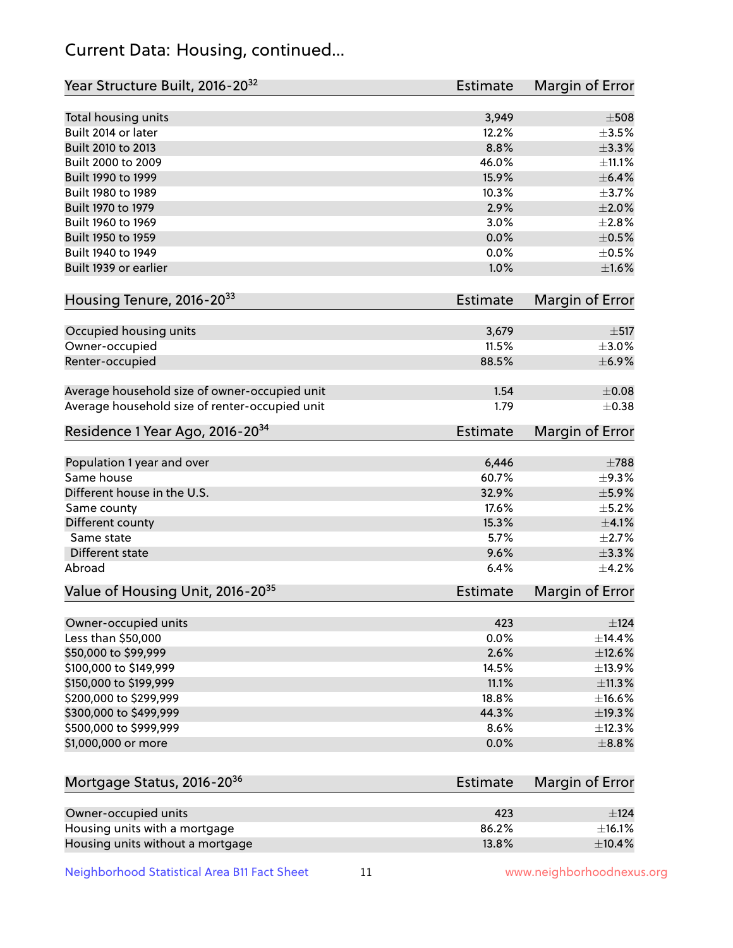## Current Data: Housing, continued...

| Year Structure Built, 2016-20 <sup>32</sup>    | Estimate        | Margin of Error        |
|------------------------------------------------|-----------------|------------------------|
| Total housing units                            | 3,949           | $\pm 508$              |
| Built 2014 or later                            | 12.2%           | $\pm$ 3.5%             |
| Built 2010 to 2013                             | 8.8%            | ±3.3%                  |
| Built 2000 to 2009                             | 46.0%           | ±11.1%                 |
| Built 1990 to 1999                             | 15.9%           | $\pm$ 6.4%             |
| Built 1980 to 1989                             | 10.3%           | ±3.7%                  |
| Built 1970 to 1979                             | 2.9%            | $\pm 2.0\%$            |
| Built 1960 to 1969                             | 3.0%            | ±2.8%                  |
| Built 1950 to 1959                             | 0.0%            | $\pm$ 0.5%             |
| Built 1940 to 1949                             | 0.0%            | $\pm$ 0.5%             |
| Built 1939 or earlier                          | 1.0%            | $\pm1.6\%$             |
|                                                |                 |                        |
| Housing Tenure, 2016-20 <sup>33</sup>          | <b>Estimate</b> | <b>Margin of Error</b> |
| Occupied housing units                         | 3,679           | $\pm$ 517              |
| Owner-occupied                                 | 11.5%           | $\pm 3.0\%$            |
| Renter-occupied                                | 88.5%           | $\pm$ 6.9%             |
|                                                |                 |                        |
| Average household size of owner-occupied unit  | 1.54            | $\pm$ 0.08             |
| Average household size of renter-occupied unit | 1.79            | $\pm$ 0.38             |
| Residence 1 Year Ago, 2016-20 <sup>34</sup>    | Estimate        | <b>Margin of Error</b> |
|                                                |                 |                        |
| Population 1 year and over                     | 6,446           | $\pm 788$              |
| Same house                                     | 60.7%           | ±9.3%                  |
| Different house in the U.S.                    | 32.9%           | $\pm$ 5.9%             |
| Same county                                    | 17.6%           | $\pm$ 5.2%             |
| Different county                               | 15.3%           | $\pm$ 4.1%             |
| Same state                                     | 5.7%            | $\pm 2.7%$             |
| Different state<br>Abroad                      | 9.6%<br>6.4%    | ±3.3%<br>±4.2%         |
|                                                |                 |                        |
| Value of Housing Unit, 2016-20 <sup>35</sup>   | <b>Estimate</b> | <b>Margin of Error</b> |
| Owner-occupied units                           | 423             | $\pm$ 124              |
| Less than \$50,000                             | 0.0%            | ±14.4%                 |
| \$50,000 to \$99,999                           | 2.6%            | ±12.6%                 |
| \$100,000 to \$149,999                         | 14.5%           | ±13.9%                 |
| \$150,000 to \$199,999                         | 11.1%           | ±11.3%                 |
| \$200,000 to \$299,999                         | 18.8%           | $\pm$ 16.6%            |
| \$300,000 to \$499,999                         | 44.3%           | ±19.3%                 |
| \$500,000 to \$999,999                         | 8.6%            | ±12.3%                 |
| \$1,000,000 or more                            | 0.0%            | $\pm$ 8.8%             |
|                                                |                 |                        |
| Mortgage Status, 2016-20 <sup>36</sup>         | Estimate        | Margin of Error        |
| Owner-occupied units                           | 423             | ±124                   |
| Housing units with a mortgage                  | 86.2%           | ±16.1%                 |

Neighborhood Statistical Area B11 Fact Sheet 11 11 www.neighborhoodnexus.org

Housing units without a mortgage  $\pm 10.4\%$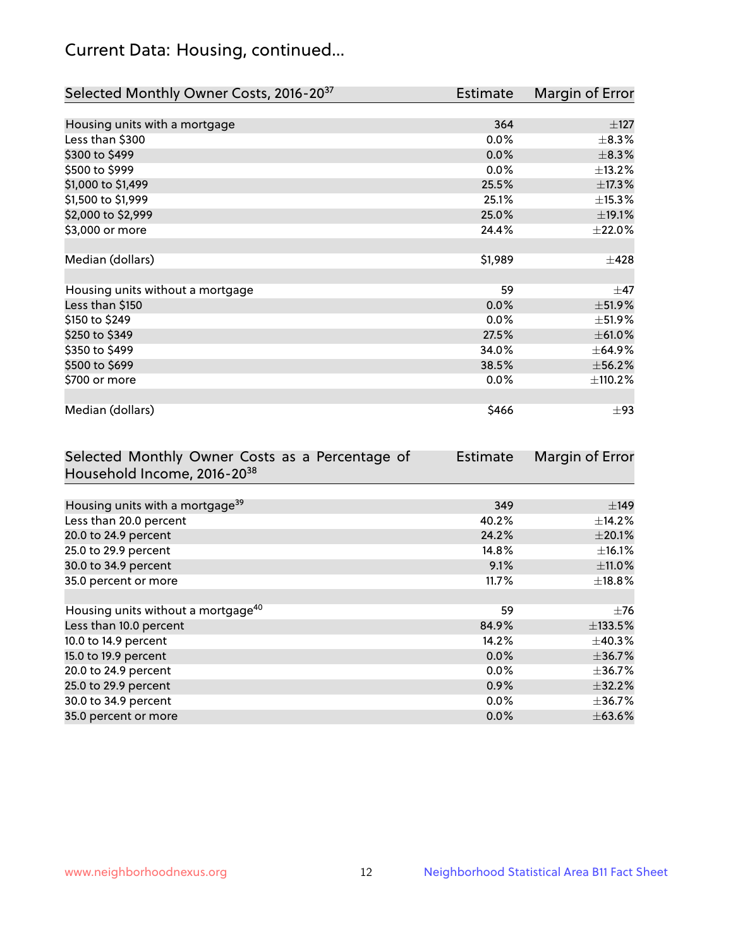## Current Data: Housing, continued...

| Selected Monthly Owner Costs, 2016-20 <sup>37</sup> | Estimate | Margin of Error |
|-----------------------------------------------------|----------|-----------------|
|                                                     |          |                 |
| Housing units with a mortgage                       | 364      | $\pm$ 127       |
| Less than \$300                                     | 0.0%     | $\pm$ 8.3%      |
| \$300 to \$499                                      | 0.0%     | $\pm$ 8.3%      |
| \$500 to \$999                                      | $0.0\%$  | ±13.2%          |
| \$1,000 to \$1,499                                  | 25.5%    | ±17.3%          |
| \$1,500 to \$1,999                                  | 25.1%    | ±15.3%          |
| \$2,000 to \$2,999                                  | 25.0%    | ±19.1%          |
| \$3,000 or more                                     | 24.4%    | $\pm 22.0\%$    |
|                                                     |          |                 |
| Median (dollars)                                    | \$1,989  | $\pm 428$       |
|                                                     |          |                 |
| Housing units without a mortgage                    | 59       | $\pm$ 47        |
| Less than \$150                                     | 0.0%     | ±51.9%          |
| \$150 to \$249                                      | 0.0%     | ±51.9%          |
| \$250 to \$349                                      | 27.5%    | ±61.0%          |
| \$350 to \$499                                      | 34.0%    | $\pm$ 64.9%     |
| \$500 to \$699                                      | 38.5%    | ±56.2%          |
| \$700 or more                                       | 0.0%     | ±110.2%         |
|                                                     |          |                 |
| Median (dollars)                                    | \$466    | $\pm$ 93        |

| Selected Monthly Owner Costs as a Percentage of | <b>Estimate</b> | Margin of Error |
|-------------------------------------------------|-----------------|-----------------|
| Household Income, 2016-20 <sup>38</sup>         |                 |                 |
|                                                 |                 |                 |
| Housing units with a mortgage <sup>39</sup>     | 349             | $\pm$ 149       |
| Less than 20.0 percent                          | 40.2%           | $\pm$ 14.2%     |
| 20.0 to 24.9 percent                            | 24.2%           | $\pm 20.1\%$    |
| 25.0 to 29.9 percent                            | 14.8%           | $\pm$ 16.1%     |
| 30.0 to 34.9 percent                            | 9.1%            | $\pm$ 11.0%     |
| 35.0 percent or more                            | 11.7%           | $\pm$ 18.8%     |
|                                                 |                 |                 |
| Housing units without a mortgage <sup>40</sup>  | 59              | $\pm 76$        |
| Less than 10.0 percent                          | 84.9%           | ±133.5%         |
| 10.0 to 14.9 percent                            | 14.2%           | $\pm$ 40.3%     |
| 15.0 to 19.9 percent                            | $0.0\%$         | ±36.7%          |
| 20.0 to 24.9 percent                            | $0.0\%$         | $\pm$ 36.7%     |
| 25.0 to 29.9 percent                            | 0.9%            | $\pm$ 32.2%     |
| 30.0 to 34.9 percent                            | 0.0%            | $\pm$ 36.7%     |
| 35.0 percent or more                            | 0.0%            | $\pm$ 63.6%     |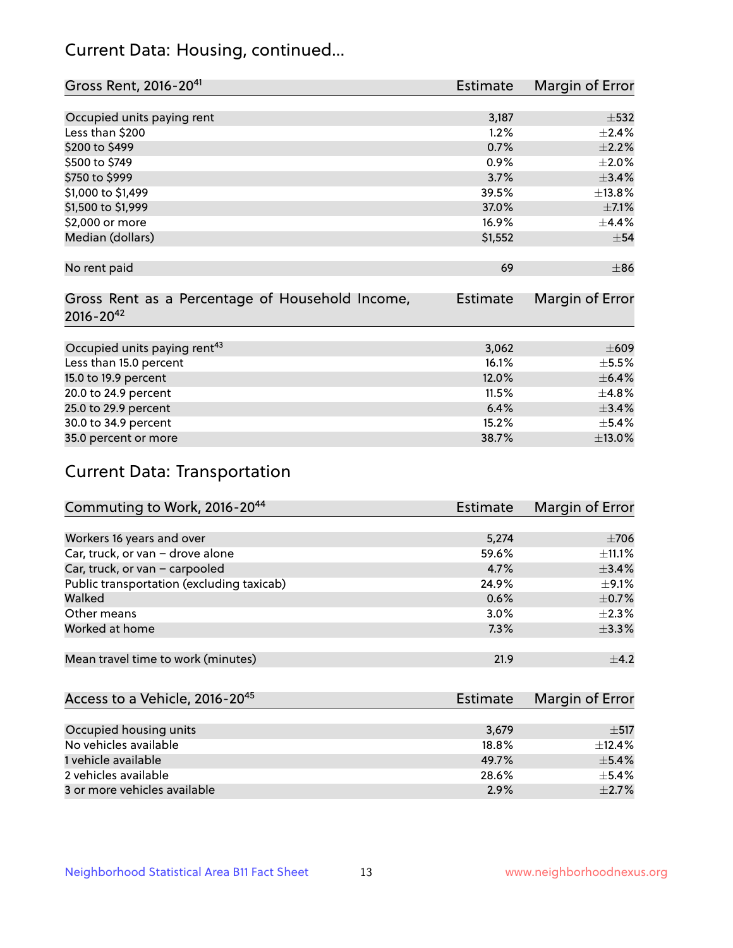## Current Data: Housing, continued...

| Gross Rent, 2016-20 <sup>41</sup>               | Estimate        | Margin of Error |
|-------------------------------------------------|-----------------|-----------------|
|                                                 |                 |                 |
| Occupied units paying rent                      | 3,187           | $\pm$ 532       |
| Less than \$200                                 | 1.2%            | ±2.4%           |
| \$200 to \$499                                  | 0.7%            | $\pm 2.2\%$     |
| \$500 to \$749                                  | 0.9%            | $\pm 2.0\%$     |
| \$750 to \$999                                  | 3.7%            | ±3.4%           |
| \$1,000 to \$1,499                              | 39.5%           | ±13.8%          |
| \$1,500 to \$1,999                              | 37.0%           | $\pm$ 7.1%      |
| \$2,000 or more                                 | 16.9%           | ±4.4%           |
| Median (dollars)                                | \$1,552         | $\pm$ 54        |
|                                                 |                 |                 |
| No rent paid                                    | 69              | $\pm$ 86        |
|                                                 |                 |                 |
| Gross Rent as a Percentage of Household Income, | <b>Estimate</b> | Margin of Error |
| $2016 - 20^{42}$                                |                 |                 |
|                                                 |                 |                 |
| Occupied units paying rent <sup>43</sup>        | 3,062           | $\pm 609$       |
| Less than 15.0 percent                          | 16.1%           | $\pm$ 5.5%      |
| 15.0 to 19.9 percent                            | 12.0%           | $\pm$ 6.4%      |
| 20.0 to 24.9 percent                            | 11.5%           | $\pm$ 4.8%      |
| 25.0 to 29.9 percent                            | 6.4%            | ±3.4%           |
| 30.0 to 34.9 percent                            | 15.2%           | $\pm$ 5.4%      |
| 35.0 percent or more                            | 38.7%           | $\pm$ 13.0%     |

# Current Data: Transportation

| Commuting to Work, 2016-20 <sup>44</sup>  | Estimate | Margin of Error |
|-------------------------------------------|----------|-----------------|
|                                           |          |                 |
| Workers 16 years and over                 | 5,274    | $\pm 706$       |
| Car, truck, or van - drove alone          | 59.6%    | $\pm$ 11.1%     |
| Car, truck, or van - carpooled            | 4.7%     | ±3.4%           |
| Public transportation (excluding taxicab) | 24.9%    | $\pm$ 9.1%      |
| Walked                                    | 0.6%     | $\pm$ 0.7%      |
| Other means                               | 3.0%     | $\pm 2.3\%$     |
| Worked at home                            | 7.3%     | ±3.3%           |
|                                           |          |                 |
| Mean travel time to work (minutes)        | 21.9     | $\pm$ 4.2       |

| Access to a Vehicle, 2016-20 <sup>45</sup> | Estimate | Margin of Error |
|--------------------------------------------|----------|-----------------|
|                                            |          |                 |
| Occupied housing units                     | 3,679    | $+517$          |
| No vehicles available                      | 18.8%    | $+12.4%$        |
| 1 vehicle available                        | 49.7%    | $\pm$ 5.4%      |
| 2 vehicles available                       | 28.6%    | $+5.4%$         |
| 3 or more vehicles available               | 2.9%     | $+2.7%$         |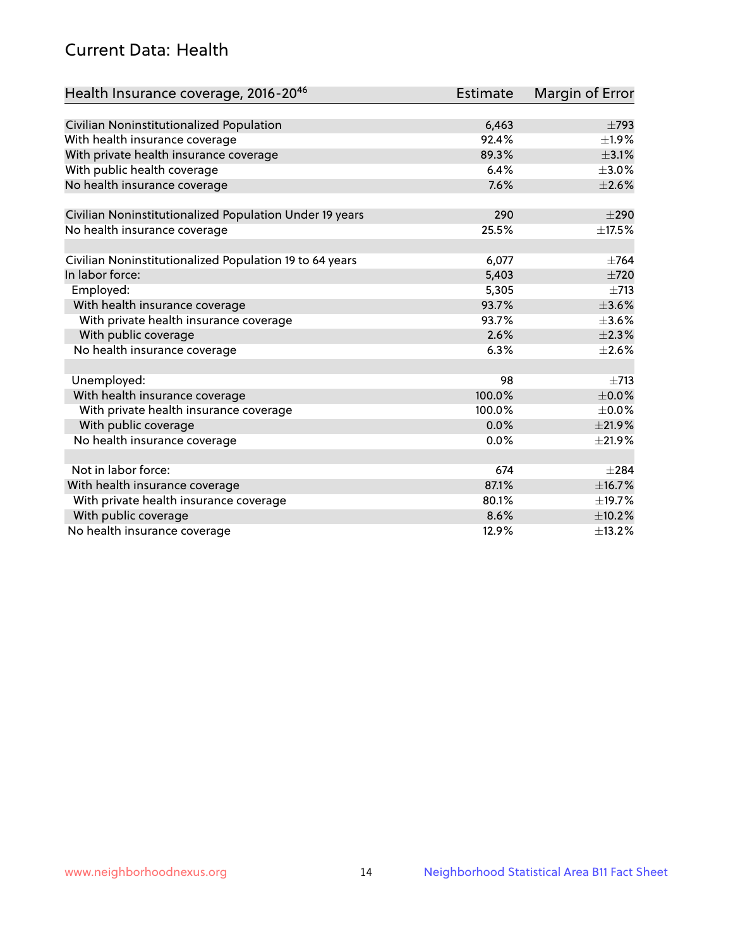## Current Data: Health

| Health Insurance coverage, 2016-2046                    | Estimate | Margin of Error |
|---------------------------------------------------------|----------|-----------------|
|                                                         |          |                 |
| Civilian Noninstitutionalized Population                | 6,463    | $\pm 793$       |
| With health insurance coverage                          | 92.4%    | $\pm 1.9\%$     |
| With private health insurance coverage                  | 89.3%    | $\pm$ 3.1%      |
| With public health coverage                             | 6.4%     | $\pm 3.0\%$     |
| No health insurance coverage                            | 7.6%     | $\pm 2.6\%$     |
| Civilian Noninstitutionalized Population Under 19 years | 290      | $\pm 290$       |
| No health insurance coverage                            | 25.5%    | ±17.5%          |
|                                                         |          |                 |
| Civilian Noninstitutionalized Population 19 to 64 years | 6,077    | $+764$          |
| In labor force:                                         | 5,403    | $\pm 720$       |
| Employed:                                               | 5,305    | $\pm 713$       |
| With health insurance coverage                          | 93.7%    | $\pm 3.6\%$     |
| With private health insurance coverage                  | 93.7%    | $\pm 3.6\%$     |
| With public coverage                                    | 2.6%     | $\pm 2.3\%$     |
| No health insurance coverage                            | 6.3%     | $\pm 2.6\%$     |
|                                                         |          |                 |
| Unemployed:                                             | 98       | $+713$          |
| With health insurance coverage                          | 100.0%   | $\pm$ 0.0%      |
| With private health insurance coverage                  | 100.0%   | $\pm$ 0.0%      |
| With public coverage                                    | 0.0%     | $\pm 21.9\%$    |
| No health insurance coverage                            | 0.0%     | $\pm 21.9\%$    |
| Not in labor force:                                     | 674      | $\pm 284$       |
| With health insurance coverage                          | 87.1%    | ±16.7%          |
| With private health insurance coverage                  | 80.1%    | ±19.7%          |
| With public coverage                                    | 8.6%     | $\pm$ 10.2%     |
| No health insurance coverage                            | 12.9%    | $\pm$ 13.2%     |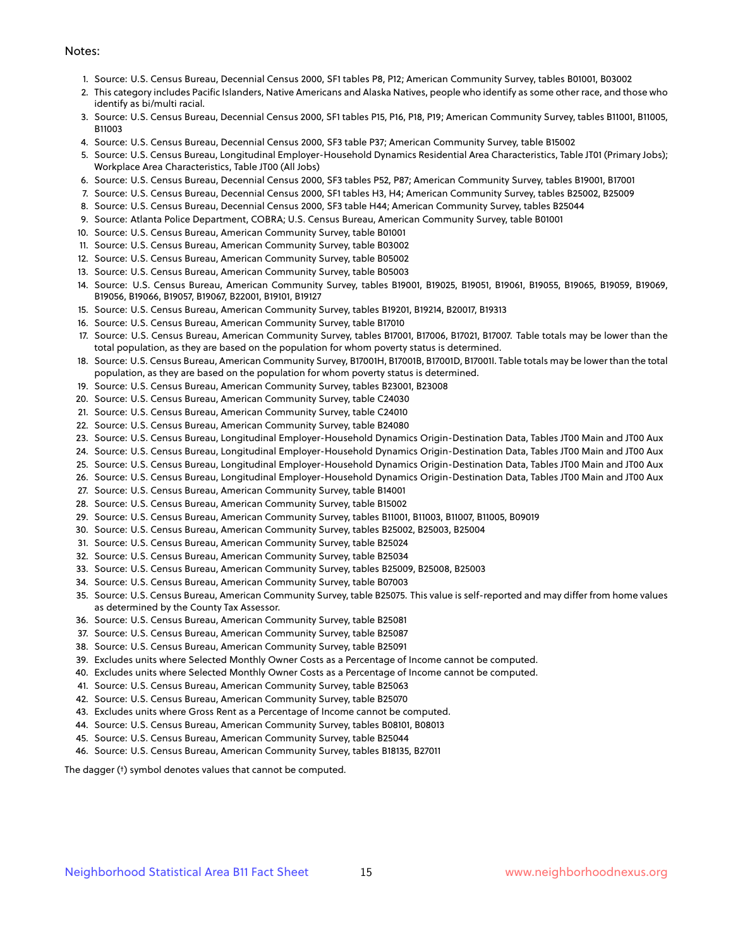#### Notes:

- 1. Source: U.S. Census Bureau, Decennial Census 2000, SF1 tables P8, P12; American Community Survey, tables B01001, B03002
- 2. This category includes Pacific Islanders, Native Americans and Alaska Natives, people who identify as some other race, and those who identify as bi/multi racial.
- 3. Source: U.S. Census Bureau, Decennial Census 2000, SF1 tables P15, P16, P18, P19; American Community Survey, tables B11001, B11005, B11003
- 4. Source: U.S. Census Bureau, Decennial Census 2000, SF3 table P37; American Community Survey, table B15002
- 5. Source: U.S. Census Bureau, Longitudinal Employer-Household Dynamics Residential Area Characteristics, Table JT01 (Primary Jobs); Workplace Area Characteristics, Table JT00 (All Jobs)
- 6. Source: U.S. Census Bureau, Decennial Census 2000, SF3 tables P52, P87; American Community Survey, tables B19001, B17001
- 7. Source: U.S. Census Bureau, Decennial Census 2000, SF1 tables H3, H4; American Community Survey, tables B25002, B25009
- 8. Source: U.S. Census Bureau, Decennial Census 2000, SF3 table H44; American Community Survey, tables B25044
- 9. Source: Atlanta Police Department, COBRA; U.S. Census Bureau, American Community Survey, table B01001
- 10. Source: U.S. Census Bureau, American Community Survey, table B01001
- 11. Source: U.S. Census Bureau, American Community Survey, table B03002
- 12. Source: U.S. Census Bureau, American Community Survey, table B05002
- 13. Source: U.S. Census Bureau, American Community Survey, table B05003
- 14. Source: U.S. Census Bureau, American Community Survey, tables B19001, B19025, B19051, B19061, B19055, B19065, B19059, B19069, B19056, B19066, B19057, B19067, B22001, B19101, B19127
- 15. Source: U.S. Census Bureau, American Community Survey, tables B19201, B19214, B20017, B19313
- 16. Source: U.S. Census Bureau, American Community Survey, table B17010
- 17. Source: U.S. Census Bureau, American Community Survey, tables B17001, B17006, B17021, B17007. Table totals may be lower than the total population, as they are based on the population for whom poverty status is determined.
- 18. Source: U.S. Census Bureau, American Community Survey, B17001H, B17001B, B17001D, B17001I. Table totals may be lower than the total population, as they are based on the population for whom poverty status is determined.
- 19. Source: U.S. Census Bureau, American Community Survey, tables B23001, B23008
- 20. Source: U.S. Census Bureau, American Community Survey, table C24030
- 21. Source: U.S. Census Bureau, American Community Survey, table C24010
- 22. Source: U.S. Census Bureau, American Community Survey, table B24080
- 23. Source: U.S. Census Bureau, Longitudinal Employer-Household Dynamics Origin-Destination Data, Tables JT00 Main and JT00 Aux
- 24. Source: U.S. Census Bureau, Longitudinal Employer-Household Dynamics Origin-Destination Data, Tables JT00 Main and JT00 Aux
- 25. Source: U.S. Census Bureau, Longitudinal Employer-Household Dynamics Origin-Destination Data, Tables JT00 Main and JT00 Aux
- 26. Source: U.S. Census Bureau, Longitudinal Employer-Household Dynamics Origin-Destination Data, Tables JT00 Main and JT00 Aux
- 27. Source: U.S. Census Bureau, American Community Survey, table B14001
- 28. Source: U.S. Census Bureau, American Community Survey, table B15002
- 29. Source: U.S. Census Bureau, American Community Survey, tables B11001, B11003, B11007, B11005, B09019
- 30. Source: U.S. Census Bureau, American Community Survey, tables B25002, B25003, B25004
- 31. Source: U.S. Census Bureau, American Community Survey, table B25024
- 32. Source: U.S. Census Bureau, American Community Survey, table B25034
- 33. Source: U.S. Census Bureau, American Community Survey, tables B25009, B25008, B25003
- 34. Source: U.S. Census Bureau, American Community Survey, table B07003
- 35. Source: U.S. Census Bureau, American Community Survey, table B25075. This value is self-reported and may differ from home values as determined by the County Tax Assessor.
- 36. Source: U.S. Census Bureau, American Community Survey, table B25081
- 37. Source: U.S. Census Bureau, American Community Survey, table B25087
- 38. Source: U.S. Census Bureau, American Community Survey, table B25091
- 39. Excludes units where Selected Monthly Owner Costs as a Percentage of Income cannot be computed.
- 40. Excludes units where Selected Monthly Owner Costs as a Percentage of Income cannot be computed.
- 41. Source: U.S. Census Bureau, American Community Survey, table B25063
- 42. Source: U.S. Census Bureau, American Community Survey, table B25070
- 43. Excludes units where Gross Rent as a Percentage of Income cannot be computed.
- 44. Source: U.S. Census Bureau, American Community Survey, tables B08101, B08013
- 45. Source: U.S. Census Bureau, American Community Survey, table B25044
- 46. Source: U.S. Census Bureau, American Community Survey, tables B18135, B27011

The dagger (†) symbol denotes values that cannot be computed.